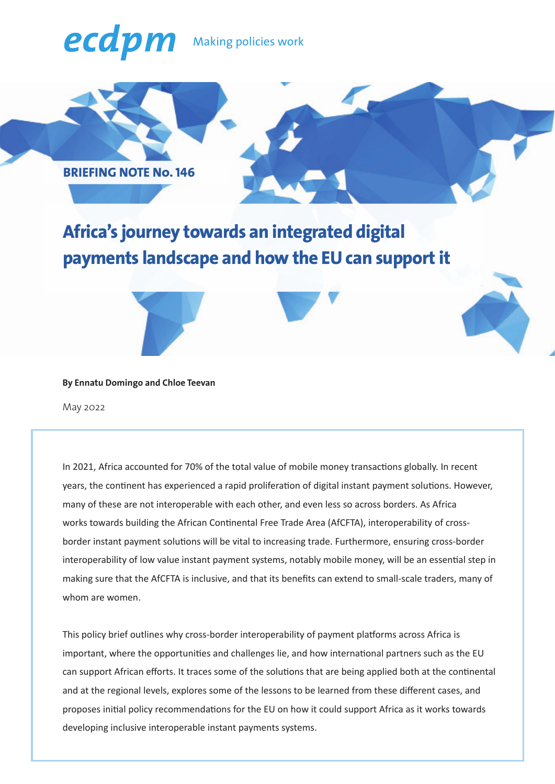# ecdpm Making policies work



## **Africa's journey towards an integrated digital payments landscape and how the EU can support it**



#### **By Ennatu Domingo and Chloe Teevan**

May 2022

In 2021, Africa accounted for 70% of the total value of mobile money transactions globally. In recent years, the continent has experienced a rapid proliferation of digital instant payment solutions. However, many of these are not interoperable with each other, and even less so across borders. As Africa works towards building the African Continental Free Trade Area (AfCFTA), interoperability of crossborder instant payment solutions will be vital to increasing trade. Furthermore, ensuring cross-border interoperability of low value instant payment systems, notably mobile money, will be an essential step in making sure that the AfCFTA is inclusive, and that its benefits can extend to small-scale traders, many of whom are women.

This policy brief outlines why cross-border interoperability of payment platforms across Africa is important, where the opportunities and challenges lie, and how international partners such as the EU can support African efforts. It traces some of the solutions that are being applied both at the continental and at the regional levels, explores some of the lessons to be learned from these different cases, and proposes initial policy recommendations for the EU on how it could support Africa as it works towards developing inclusive interoperable instant payments systems.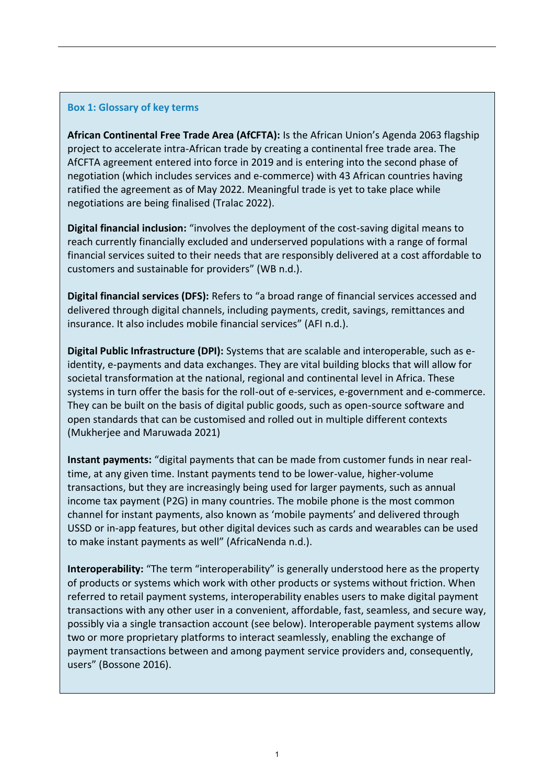#### **Box 1: Glossary of key terms**

**African Continental Free Trade Area (AfCFTA):** Is the African Union's Agenda 2063 flagship project to accelerate intra-African trade by creating a continental free trade area. The AfCFTA agreement entered into force in 2019 and is entering into the second phase of negotiation (which includes services and e-commerce) with 43 African countries having ratified the agreement as of May 2022. Meaningful trade is yet to take place while negotiations are being finalised (Tralac 2022).

**Digital financial inclusion:** "involves the deployment of the cost-saving digital means to reach currently financially excluded and underserved populations with a range of formal financial services suited to their needs that are responsibly delivered at a cost affordable to customers and sustainable for providers" (WB n.d.).

**Digital financial services (DFS):** Refers to "a broad range of financial services accessed and delivered through digital channels, including payments, credit, savings, remittances and insurance. It also includes mobile financial services" (AFI n.d.).

**Digital Public Infrastructure (DPI):** Systems that are scalable and interoperable, such as eidentity, e-payments and data exchanges. They are vital building blocks that will allow for societal transformation at the national, regional and continental level in Africa. These systems in turn offer the basis for the roll-out of e-services, e-government and e-commerce. They can be built on the basis of digital public goods, such as open-source software and open standards that can be customised and rolled out in multiple different contexts (Mukherjee and Maruwada 2021)

**Instant payments:** "digital payments that can be made from customer funds in near realtime, at any given time. Instant payments tend to be lower-value, higher-volume transactions, but they are increasingly being used for larger payments, such as annual income tax payment (P2G) in many countries. The mobile phone is the most common channel for instant payments, also known as 'mobile payments' and delivered through USSD or in-app features, but other digital devices such as cards and wearables can be used to make instant payments as well" (AfricaNenda n.d.).

**Interoperability:** "The term "interoperability" is generally understood here as the property of products or systems which work with other products or systems without friction. When referred to retail payment systems, interoperability enables users to make digital payment transactions with any other user in a convenient, affordable, fast, seamless, and secure way, possibly via a single transaction account (see below). Interoperable payment systems allow two or more proprietary platforms to interact seamlessly, enabling the exchange of payment transactions between and among payment service providers and, consequently, users" (Bossone 2016).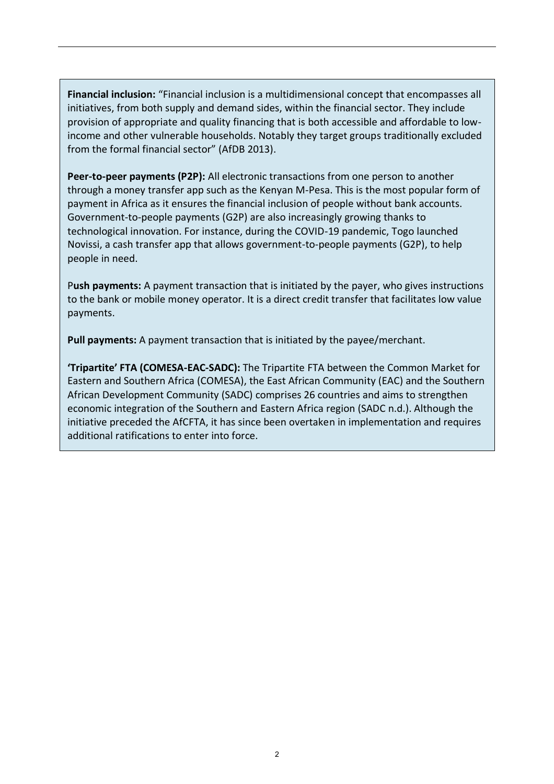**Financial inclusion:** "Financial inclusion is a multidimensional concept that encompasses all initiatives, from both supply and demand sides, within the financial sector. They include provision of appropriate and quality financing that is both accessible and affordable to lowincome and other vulnerable households. Notably they target groups traditionally excluded from the formal financial sector" (AfDB 2013).

**Peer-to-peer payments (P2P):** All electronic transactions from one person to another through a money transfer app such as the Kenyan M-Pesa. This is the most popular form of payment in Africa as it ensures the financial inclusion of people without bank accounts. Government-to-people payments (G2P) are also increasingly growing thanks to technological innovation. For instance, during the COVID-19 pandemic, Togo launched Novissi, a cash transfer app that allows government-to-people payments (G2P), to help people in need.

P**ush payments:** A payment transaction that is initiated by the payer, who gives instructions to the bank or mobile money operator. It is a direct credit transfer that facilitates low value payments.

**Pull payments:** A payment transaction that is initiated by the payee/merchant.

**'Tripartite' FTA (COMESA-EAC-SADC):** The Tripartite FTA between the Common Market for Eastern and Southern Africa (COMESA), the East African Community (EAC) and the Southern African Development Community (SADC) comprises 26 countries and aims to strengthen economic integration of the Southern and Eastern Africa region (SADC n.d.). Although the initiative preceded the AfCFTA, it has since been overtaken in implementation and requires additional ratifications to enter into force.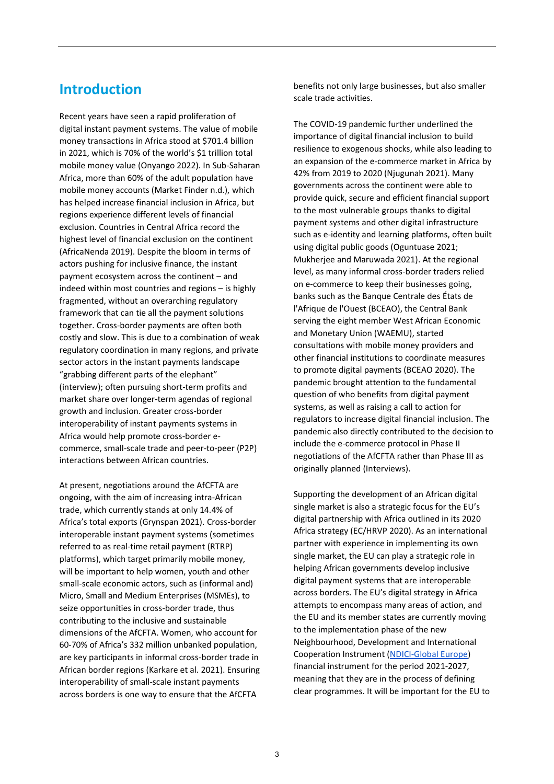## **Introduction**

Recent years have seen a rapid proliferation of digital instant payment systems. The value of mobile money transactions in Africa stood at \$701.4 billion in 2021, which is 70% of the world's \$1 trillion total mobile money value (Onyango 2022). In Sub-Saharan Africa, more than 60% of the adult population have mobile money accounts (Market Finder n.d.), which has helped increase financial inclusion in Africa, but regions experience different levels of financial exclusion. Countries in Central Africa record the highest level of financial exclusion on the continent (AfricaNenda 2019). Despite the bloom in terms of actors pushing for inclusive finance, the instant payment ecosystem across the continent – and indeed within most countries and regions – is highly fragmented, without an overarching regulatory framework that can tie all the payment solutions together. Cross-border payments are often both costly and slow. This is due to a combination of weak regulatory coordination in many regions, and private sector actors in the instant payments landscape "grabbing different parts of the elephant" (interview); often pursuing short-term profits and market share over longer-term agendas of regional growth and inclusion. Greater cross-border interoperability of instant payments systems in Africa would help promote cross-border ecommerce, small-scale trade and peer-to-peer (P2P) interactions between African countries.

At present, negotiations around the AfCFTA are ongoing, with the aim of increasing intra-African trade, which currently stands at only 14.4% of Africa's total exports (Grynspan 2021). Cross-border interoperable instant payment systems (sometimes referred to as real-time retail payment (RTRP) platforms), which target primarily mobile money, will be important to help women, youth and other small-scale economic actors, such as (informal and) Micro, Small and Medium Enterprises (MSMEs), to seize opportunities in cross-border trade, thus contributing to the inclusive and sustainable dimensions of the AfCFTA. Women, who account for 60-70% of Africa's 332 million unbanked population, are key participants in informal cross-border trade in African border regions (Karkare et al. 2021). Ensuring interoperability of small-scale instant payments across borders is one way to ensure that the AfCFTA

benefits not only large businesses, but also smaller scale trade activities.

The COVID-19 pandemic further underlined the importance of digital financial inclusion to build resilience to exogenous shocks, while also leading to an expansion of the e-commerce market in Africa by 42% from 2019 to 2020 (Njugunah 2021). Many governments across the continent were able to provide quick, secure and efficient financial support to the most vulnerable groups thanks to digital payment systems and other digital infrastructure such as e-identity and learning platforms, often built using digital public goods (Oguntuase 2021; Mukherjee and Maruwada 2021). At the regional level, as many informal cross-border traders relied on e-commerce to keep their businesses going, banks such as the Banque Centrale des États de l'Afrique de l'Ouest (BCEAO), the Central Bank serving the eight member West African Economic and Monetary Union (WAEMU), started consultations with mobile money providers and other financial institutions to coordinate measures to promote digital payments (BCEAO 2020). The pandemic brought attention to the fundamental question of who benefits from digital payment systems, as well as raising a call to action for regulators to increase digital financial inclusion. The pandemic also directly contributed to the decision to include the e-commerce protocol in Phase II negotiations of the AfCFTA rather than Phase III as originally planned (Interviews).

Supporting the development of an African digital single market is also a strategic focus for the EU's digital partnership with Africa outlined in its 2020 Africa strategy (EC/HRVP 2020). As an international partner with experience in implementing its own single market, the EU can play a strategic role in helping African governments develop inclusive digital payment systems that are interoperable across borders. The EU's digital strategy in Africa attempts to encompass many areas of action, and the EU and its member states are currently moving to the implementation phase of the new Neighbourhood, Development and International Cooperation Instrument [\(NDICI-Global Europe\)](https://ec.europa.eu/international-partnerships/global-europe_en) financial instrument for the period 2021-2027, meaning that they are in the process of defining clear programmes. It will be important for the EU to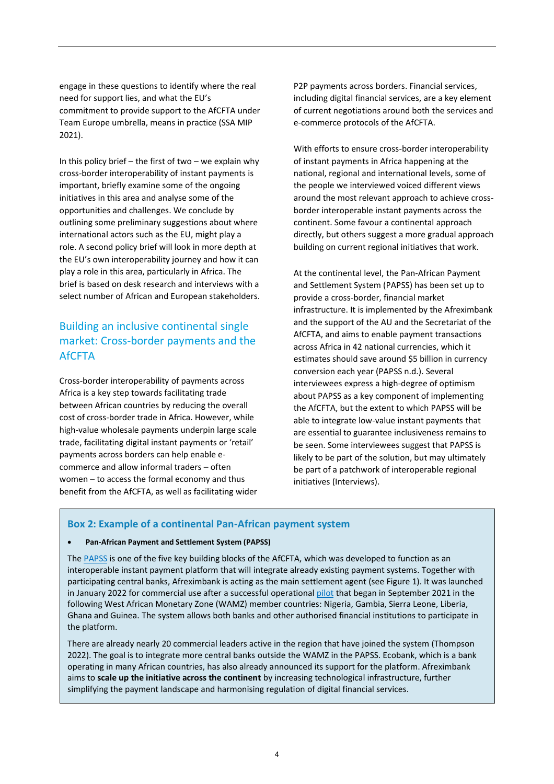engage in these questions to identify where the real need for support lies, and what the EU's commitment to provide support to the AfCFTA under Team Europe umbrella, means in practice (SSA MIP 2021).

In this policy brief  $-$  the first of two  $-$  we explain why cross-border interoperability of instant payments is important, briefly examine some of the ongoing initiatives in this area and analyse some of the opportunities and challenges. We conclude by outlining some preliminary suggestions about where international actors such as the EU, might play a role. A second policy brief will look in more depth at the EU's own interoperability journey and how it can play a role in this area, particularly in Africa. The brief is based on desk research and interviews with a select number of African and European stakeholders.

## Building an inclusive continental single market: Cross-border payments and the **AfCFTA**

Cross-border interoperability of payments across Africa is a key step towards facilitating trade between African countries by reducing the overall cost of cross-border trade in Africa. However, while high-value wholesale payments underpin large scale trade, facilitating digital instant payments or 'retail' payments across borders can help enable ecommerce and allow informal traders – often women – to access the formal economy and thus benefit from the AfCFTA, as well as facilitating wider P2P payments across borders. Financial services, including digital financial services, are a key element of current negotiations around both the services and e-commerce protocols of the AfCFTA.

With efforts to ensure cross-border interoperability of instant payments in Africa happening at the national, regional and international levels, some of the people we interviewed voiced different views around the most relevant approach to achieve crossborder interoperable instant payments across the continent. Some favour a continental approach directly, but others suggest a more gradual approach building on current regional initiatives that work.

At the continental level, the Pan-African Payment and Settlement System (PAPSS) has been set up to provide a cross-border, financial market infrastructure. It is implemented by the Afreximbank and the support of the AU and the Secretariat of the AfCFTA, and aims to enable payment transactions across Africa in 42 national currencies, which it estimates should save around \$5 billion in currency conversion each year (PAPSS n.d.). Several interviewees express a high-degree of optimism about PAPSS as a key component of implementing the AfCFTA, but the extent to which PAPSS will be able to integrate low-value instant payments that are essential to guarantee inclusiveness remains to be seen. Some interviewees suggest that PAPSS is likely to be part of the solution, but may ultimately be part of a patchwork of interoperable regional initiatives (Interviews).

#### **Box 2: Example of a continental Pan-African payment system**

#### • **Pan-African Payment and Settlement System (PAPSS)**

The [PAPSS](https://papss.com/) is one of the five key building blocks of the AfCFTA, which was developed to function as an interoperable instant payment platform that will integrate already existing payment systems. Together with participating central banks, Afreximbank is acting as the main settlement agent (see Figure 1). It was launched in January 2022 for commercial use after a successful operational [pilot](https://worldstagenews.com/ecobank-has-a-pan-african-switch-already-connected-to-pan-african-payment-and-settlement-system-akinwuntan/) that began in September 2021 in the following West African Monetary Zone (WAMZ) member countries: Nigeria, Gambia, Sierra Leone, Liberia, Ghana and Guinea. The system allows both banks and other authorised financial institutions to participate in the platform.

There are already nearly 20 commercial leaders active in the region that have joined the system (Thompson 2022). The goal is to integrate more central banks outside the WAMZ in the PAPSS. Ecobank, which is a bank operating in many African countries, has also already announced its support for the platform. Afreximbank aims to **scale up the initiative across the continent** by increasing technological infrastructure, further simplifying the payment landscape and harmonising regulation of digital financial services.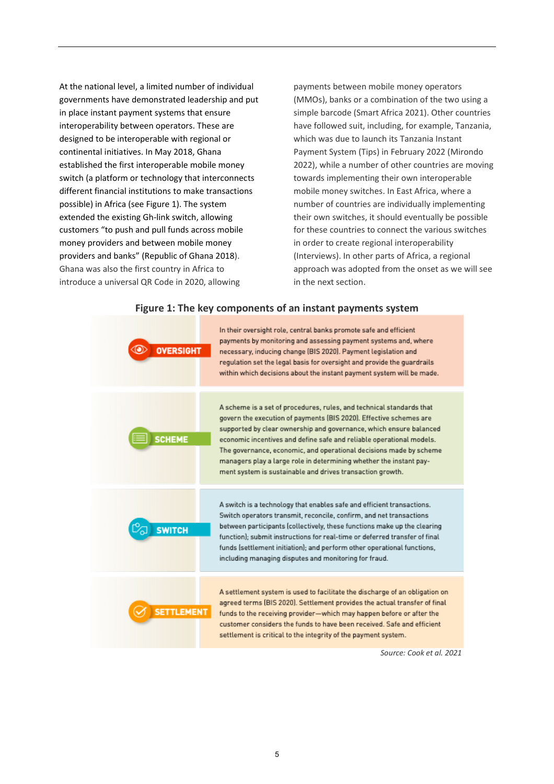At the national level, a limited number of individual governments have demonstrated leadership and put in place instant payment systems that ensure interoperability between operators. These are designed to be interoperable with regional or continental initiatives. In May 2018, Ghana established the first interoperable mobile money switch (a platform or technology that interconnects different financial institutions to make transactions possible) in Africa (see Figure 1). The system extended the existing Gh-link switch, allowing customers "to push and pull funds across mobile money providers and between mobile money providers and banks" (Republic of Ghana 2018). Ghana was also the first country in Africa to introduce a universal QR Code in 2020, allowing

payments between mobile money operators (MMOs), banks or a combination of the two using a simple barcode (Smart Africa 2021). Other countries have followed suit, including, for example, Tanzania, which was due to launch its Tanzania Instant Payment System (Tips) in February 2022 (Mirondo 2022), while a number of other countries are moving towards implementing their own interoperable mobile money switches. In East Africa, where a number of countries are individually implementing their own switches, it should eventually be possible for these countries to connect the various switches in order to create regional interoperability (Interviews). In other parts of Africa, a regional approach was adopted from the onset as we will see in the next section.

#### In their oversight role, central banks promote safe and efficient payments by monitoring and assessing payment systems and, where **OVERSIGHT** necessary, inducing change (BIS 2020). Payment legislation and regulation set the legal basis for oversight and provide the guardrails within which decisions about the instant payment system will be made. A scheme is a set of procedures, rules, and technical standards that govern the execution of payments (BIS 2020). Effective schemes are supported by clear ownership and governance, which ensure balanced **SCHEME** economic incentives and define safe and reliable operational models. The governance, economic, and operational decisions made by scheme managers play a large role in determining whether the instant payment system is sustainable and drives transaction growth. A switch is a technology that enables safe and efficient transactions. Switch operators transmit, reconcile, confirm, and net transactions between participants (collectively, these functions make up the clearing **SWITCH** function): submit instructions for real-time or deferred transfer of final funds (settlement initiation); and perform other operational functions, including managing disputes and monitoring for fraud. A settlement system is used to facilitate the discharge of an obligation on agreed terms (BIS 2020). Settlement provides the actual transfer of final **SETTLEMENT** funds to the receiving provider-which may happen before or after the customer considers the funds to have been received. Safe and efficient settlement is critical to the integrity of the payment system.

#### **Figure 1: The key components of an instant payments system**

*Source: Cook et al. 2021*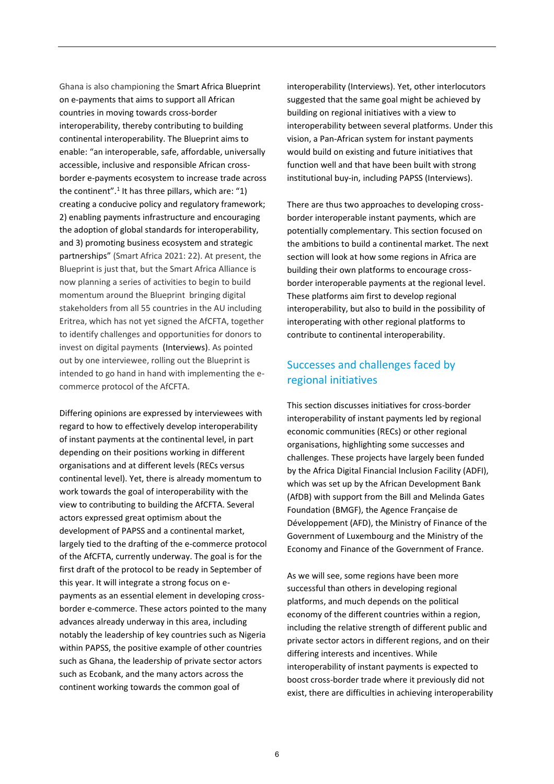Ghana is also championing the Smart Africa Blueprint on e-payments that aims to support all African countries in moving towards cross-border interoperability, thereby contributing to building continental interoperability. The Blueprint aims to enable: "an interoperable, safe, affordable, universally accessible, inclusive and responsible African crossborder e-payments ecosystem to increase trade across the continent".<sup>1</sup> It has three pillars, which are: "1) creating a conducive policy and regulatory framework; 2) enabling payments infrastructure and encouraging the adoption of global standards for interoperability, and 3) promoting business ecosystem and strategic partnerships" (Smart Africa 2021: 22). At present, the Blueprint is just that, but the Smart Africa Alliance is now planning a series of activities to begin to build momentum around the Blueprint bringing digital stakeholders from all 55 countries in the AU including Eritrea, which has not yet signed the AfCFTA, together to identify challenges and opportunities for donors to invest on digital payments (Interviews). As pointed out by one interviewee, rolling out the Blueprint is intended to go hand in hand with implementing the ecommerce protocol of the AfCFTA.

Differing opinions are expressed by interviewees with regard to how to effectively develop interoperability of instant payments at the continental level, in part depending on their positions working in different organisations and at different levels (RECs versus continental level). Yet, there is already momentum to work towards the goal of interoperability with the view to contributing to building the AfCFTA. Several actors expressed great optimism about the development of PAPSS and a continental market, largely tied to the drafting of the e-commerce protocol of the AfCFTA, currently underway. The goal is for the first draft of the protocol to be ready in September of this year. It will integrate a strong focus on epayments as an essential element in developing crossborder e-commerce. These actors pointed to the many advances already underway in this area, including notably the leadership of key countries such as Nigeria within PAPSS, the positive example of other countries such as Ghana, the leadership of private sector actors such as Ecobank, and the many actors across the continent working towards the common goal of

interoperability (Interviews). Yet, other interlocutors suggested that the same goal might be achieved by building on regional initiatives with a view to interoperability between several platforms. Under this vision, a Pan-African system for instant payments would build on existing and future initiatives that function well and that have been built with strong institutional buy-in, including PAPSS (Interviews).

There are thus two approaches to developing crossborder interoperable instant payments, which are potentially complementary. This section focused on the ambitions to build a continental market. The next section will look at how some regions in Africa are building their own platforms to encourage crossborder interoperable payments at the regional level. These platforms aim first to develop regional interoperability, but also to build in the possibility of interoperating with other regional platforms to contribute to continental interoperability.

### Successes and challenges faced by regional initiatives

This section discusses initiatives for cross-border interoperability of instant payments led by regional economic communities (RECs) or other regional organisations, highlighting some successes and challenges. These projects have largely been funded by the Africa Digital Financial Inclusion Facility (ADFI), which was set up by the African Development Bank (AfDB) with support from the Bill and Melinda Gates Foundation (BMGF), the Agence Française de Développement (AFD), the Ministry of Finance of the Government of Luxembourg and the Ministry of the Economy and Finance of the Government of France.

As we will see, some regions have been more successful than others in developing regional platforms, and much depends on the political economy of the different countries within a region, including the relative strength of different public and private sector actors in different regions, and on their differing interests and incentives. While interoperability of instant payments is expected to boost cross-border trade where it previously did not exist, there are difficulties in achieving interoperability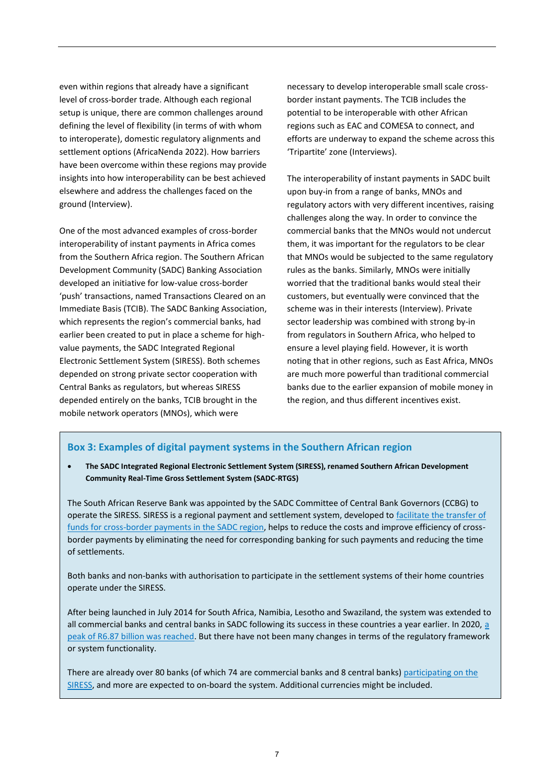even within regions that already have a significant level of cross-border trade. Although each regional setup is unique, there are common challenges around defining the level of flexibility (in terms of with whom to interoperate), domestic regulatory alignments and settlement options (AfricaNenda 2022). How barriers have been overcome within these regions may provide insights into how interoperability can be best achieved elsewhere and address the challenges faced on the ground (Interview).

One of the most advanced examples of cross-border interoperability of instant payments in Africa comes from the Southern Africa region. The Southern African Development Community (SADC) Banking Association developed an initiative for low-value cross-border 'push' transactions, named Transactions Cleared on an Immediate Basis (TCIB). The SADC Banking Association, which represents the region's commercial banks, had earlier been created to put in place a scheme for highvalue payments, the SADC Integrated Regional Electronic Settlement System (SIRESS). Both schemes depended on strong private sector cooperation with Central Banks as regulators, but whereas SIRESS depended entirely on the banks, TCIB brought in the mobile network operators (MNOs), which were

necessary to develop interoperable small scale crossborder instant payments. The TCIB includes the potential to be interoperable with other African regions such as EAC and COMESA to connect, and efforts are underway to expand the scheme across this 'Tripartite' zone (Interviews).

The interoperability of instant payments in SADC built upon buy-in from a range of banks, MNOs and regulatory actors with very different incentives, raising challenges along the way. In order to convince the commercial banks that the MNOs would not undercut them, it was important for the regulators to be clear that MNOs would be subjected to the same regulatory rules as the banks. Similarly, MNOs were initially worried that the traditional banks would steal their customers, but eventually were convinced that the scheme was in their interests (Interview). Private sector leadership was combined with strong by-in from regulators in Southern Africa, who helped to ensure a level playing field. However, it is worth noting that in other regions, such as East Africa, MNOs are much more powerful than traditional commercial banks due to the earlier expansion of mobile money in the region, and thus different incentives exist.

#### **Box 3: Examples of digital payment systems in the Southern African region**

• **The SADC Integrated Regional Electronic Settlement System (SIRESS), renamed Southern African Development Community Real-Time Gross Settlement System (SADC-RTGS)**

The South African Reserve Bank was appointed by the SADC Committee of Central Bank Governors (CCBG) to operate the SIRESS. SIRESS is a regional payment and settlement system, developed to [facilitate the transfer of](https://www.boz.zm/regional-payment-systems.htm)  [funds for cross-border payments in the SADC region,](https://www.boz.zm/regional-payment-systems.htm) helps to reduce the costs and improve efficiency of crossborder payments by eliminating the need for corresponding banking for such payments and reducing the time of settlements.

Both banks and non-banks with authorisation to participate in the settlement systems of their home countries operate under the SIRESS.

After being launched in July 2014 for South Africa, Namibia, Lesotho and Swaziland, the system was extended to all commercial banks and central banks in SADC following its success in these countries a year earlier. In 2020, [a](https://www.resbank.co.za/content/dam/sarb/what-we-do/payments-and-settlements/sadc-rtgs-/SADC-RTGS%20(SIRESS)%20PFMI%20Self-assessment%202021.pdf)  [peak of R6.87 billion was reached.](https://www.resbank.co.za/content/dam/sarb/what-we-do/payments-and-settlements/sadc-rtgs-/SADC-RTGS%20(SIRESS)%20PFMI%20Self-assessment%202021.pdf) But there have not been many changes in terms of the regulatory framework or system functionality.

There are already over 80 banks (of which 74 are commercial banks and 8 central banks) participating on the [SIRESS,](https://www.sadcbanking.org/sadc-rtgs/) and more are expected to on-board the system. Additional currencies might be included.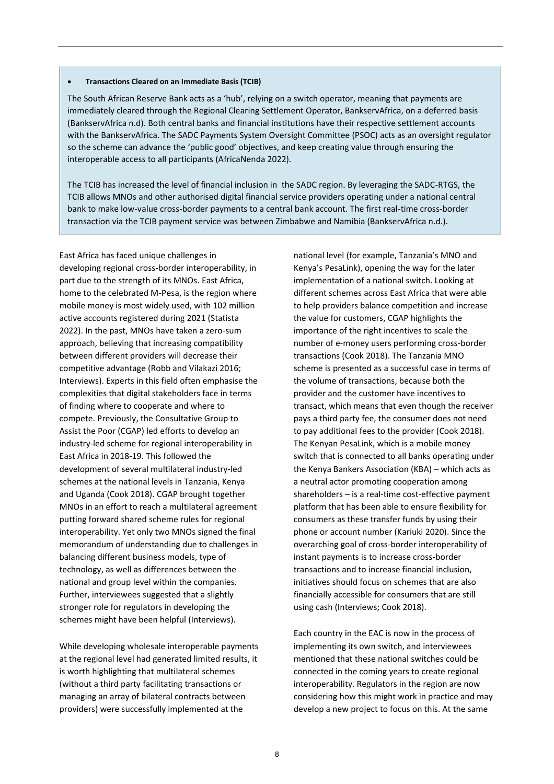#### • **Transactions Cleared on an Immediate Basis (TCIB)**

The South African Reserve Bank acts as a 'hub', relying on a switch operator, meaning that payments are immediately cleared through the Regional Clearing Settlement Operator, BankservAfrica, on a deferred basis (BankservAfrica n.d). Both central banks and financial institutions have their respective settlement accounts with the BankservAfrica. The SADC Payments System Oversight Committee (PSOC) acts as an oversight regulator so the scheme can advance the 'public good' objectives, and keep creating value through ensuring the interoperable access to all participants (AfricaNenda 2022).

The TCIB has increased the level of financial inclusion in the SADC region. By leveraging the SADC-RTGS, the TCIB allows MNOs and other authorised digital financial service providers operating under a national central bank to make low-value cross-border payments to a central bank account. The first real-time cross-border transaction via the TCIB payment service was between Zimbabwe and Namibia (BankservAfrica n.d.).

East Africa has faced unique challenges in developing regional cross-border interoperability, in part due to the strength of its MNOs. East Africa, home to the celebrated M-Pesa, is the region where mobile money is most widely used, with 102 million active accounts registered during 2021 (Statista 2022). In the past, MNOs have taken a zero-sum approach, believing that increasing compatibility between different providers will decrease their competitive advantage (Robb and Vilakazi 2016; Interviews). Experts in this field often emphasise the complexities that digital stakeholders face in terms of finding where to cooperate and where to compete. Previously, the Consultative Group to Assist the Poor (CGAP) led efforts to develop an industry-led scheme for regional interoperability in East Africa in 2018-19. This followed the development of several multilateral industry-led schemes at the national levels in Tanzania, Kenya and Uganda (Cook 2018). CGAP brought together MNOs in an effort to reach a multilateral agreement putting forward shared scheme rules for regional interoperability. Yet only two MNOs signed the final memorandum of understanding due to challenges in balancing different business models, type of technology, as well as differences between the national and group level within the companies. Further, interviewees suggested that a slightly stronger role for regulators in developing the schemes might have been helpful (Interviews).

While developing wholesale interoperable payments at the regional level had generated limited results, it is worth highlighting that multilateral schemes (without a third party facilitating transactions or managing an array of bilateral contracts between providers) were successfully implemented at the

national level (for example, Tanzania's MNO and Kenya's PesaLink), opening the way for the later implementation of a national switch. Looking at different schemes across East Africa that were able to help providers balance competition and increase the value for customers, CGAP highlights the importance of the right incentives to scale the number of e-money users performing cross-border transactions (Cook 2018). The Tanzania MNO scheme is presented as a successful case in terms of the volume of transactions, because both the provider and the customer have incentives to transact, which means that even though the receiver pays a third party fee, the consumer does not need to pay additional fees to the provider (Cook 2018). The Kenyan PesaLink, which is a mobile money switch that is connected to all banks operating under the Kenya Bankers Association (KBA) – which acts as a neutral actor promoting cooperation among shareholders – is a real-time cost-effective payment platform that has been able to ensure flexibility for consumers as these transfer funds by using their phone or account number (Kariuki 2020). Since the overarching goal of cross-border interoperability of instant payments is to increase cross-border transactions and to increase financial inclusion, initiatives should focus on schemes that are also financially accessible for consumers that are still using cash (Interviews; Cook 2018).

Each country in the EAC is now in the process of implementing its own switch, and interviewees mentioned that these national switches could be connected in the coming years to create regional interoperability. Regulators in the region are now considering how this might work in practice and may develop a new project to focus on this. At the same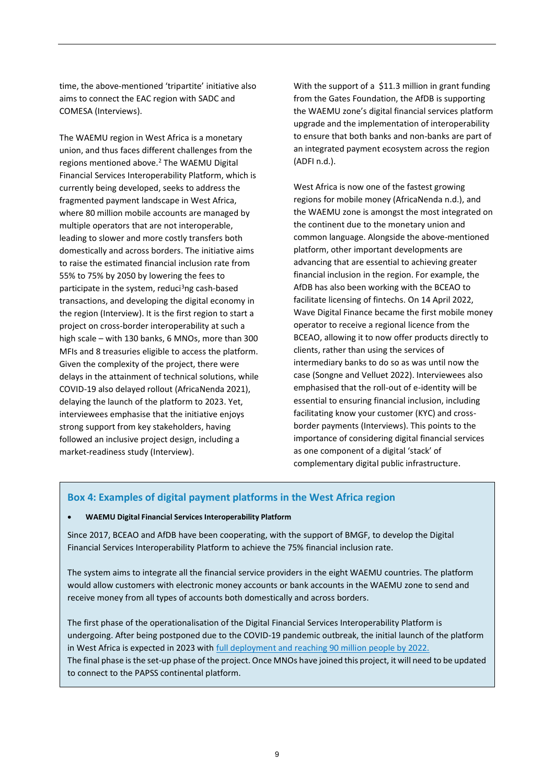time, the above-mentioned 'tripartite' initiative also aims to connect the EAC region with SADC and COMESA (Interviews).

The WAEMU region in West Africa is a monetary union, and thus faces different challenges from the regions mentioned above.<sup>2</sup> The WAEMU Digital Financial Services Interoperability Platform, which is currently being developed, seeks to address the fragmented payment landscape in West Africa, where 80 million mobile accounts are managed by multiple operators that are not interoperable, leading to slower and more costly transfers both domestically and across borders. The initiative aims to raise the estimated financial inclusion rate from 55% to 75% by 2050 by lowering the fees to participate in the system, reduci<sup>3</sup>ng cash-based transactions, and developing the digital economy in the region (Interview). It is the first region to start a project on cross-border interoperability at such a high scale – with 130 banks, 6 MNOs, more than 300 MFIs and 8 treasuries eligible to access the platform. Given the complexity of the project, there were delays in the attainment of technical solutions, while COVID-19 also delayed rollout (AfricaNenda 2021), delaying the launch of the platform to 2023. Yet, interviewees emphasise that the initiative enjoys strong support from key stakeholders, having followed an inclusive project design, including a market-readiness study (Interview).

With the support of a \$11.3 million in grant funding from the Gates Foundation, the AfDB is supporting the WAEMU zone's digital financial services platform upgrade and the implementation of interoperability to ensure that both banks and non-banks are part of an integrated payment ecosystem across the region (ADFI n.d.).

West Africa is now one of the fastest growing regions for mobile money (AfricaNenda n.d.), and the WAEMU zone is amongst the most integrated on the continent due to the monetary union and common language. Alongside the above-mentioned platform, other important developments are advancing that are essential to achieving greater financial inclusion in the region. For example, the AfDB has also been working with the BCEAO to facilitate licensing of fintechs. On 14 April 2022, Wave Digital Finance became the first mobile money operator to receive a regional licence from the BCEAO, allowing it to now offer products directly to clients, rather than using the services of intermediary banks to do so as was until now the case (Songne and Velluet 2022). Interviewees also emphasised that the roll-out of e-identity will be essential to ensuring financial inclusion, including facilitating know your customer (KYC) and crossborder payments (Interviews). This points to the importance of considering digital financial services as one component of a digital 'stack' of complementary digital public infrastructure.

#### **Box 4: Examples of digital payment platforms in the West Africa region**

#### • **WAEMU Digital Financial Services Interoperability Platform**

Since 2017, BCEAO and AfDB have been cooperating, with the support of BMGF, to develop the Digital Financial Services Interoperability Platform to achieve the 75% financial inclusion rate.

The system aims to integrate all the financial service providers in the eight WAEMU countries. The platform would allow customers with electronic money accounts or bank accounts in the WAEMU zone to send and receive money from all types of accounts both domestically and across borders.

The first phase of the operationalisation of the Digital Financial Services Interoperability Platform is undergoing. After being postponed due to the COVID-19 pandemic outbreak, the initial launch of the platform in West Africa is expected in 2023 with [full deployment and reaching 90 million people by 2022.](https://phbdevelopment.com/our-story/interoperability-unlocking-inclusive-digital-economies/) The final phase is the set-up phase of the project. Once MNOs have joined this project, it will need to be updated to connect to the PAPSS continental platform.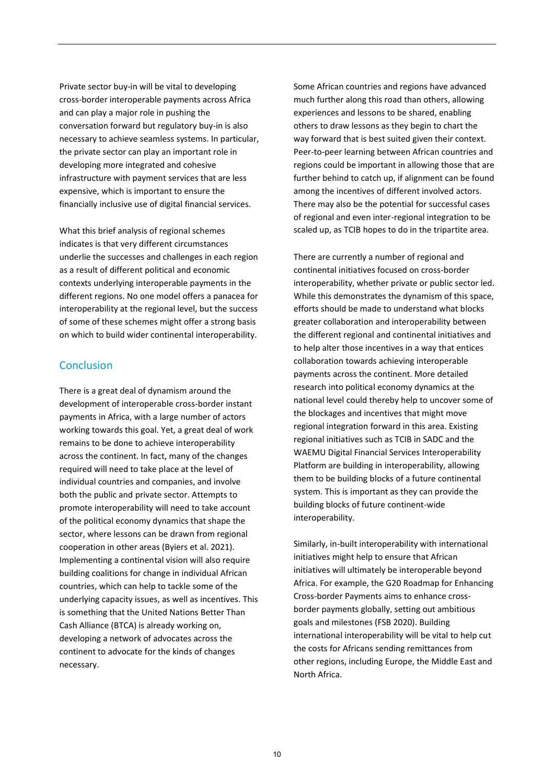Private sector buy-in will be vital to developing cross-border interoperable payments across Africa and can play a major role in pushing the conversation forward but regulatory buy-in is also necessary to achieve seamless systems. In particular, the private sector can play an important role in developing more integrated and cohesive infrastructure with payment services that are less expensive, which is important to ensure the financially inclusive use of digital financial services.

What this brief analysis of regional schemes indicates is that very different circumstances underlie the successes and challenges in each region as a result of different political and economic contexts underlying interoperable payments in the different regions. No one model offers a panacea for interoperability at the regional level, but the success of some of these schemes might offer a strong basis on which to build wider continental interoperability.

#### **Conclusion**

There is a great deal of dynamism around the development of interoperable cross-border instant payments in Africa, with a large number of actors working towards this goal. Yet, a great deal of work remains to be done to achieve interoperability across the continent. In fact, many of the changes required will need to take place at the level of individual countries and companies, and involve both the public and private sector. Attempts to promote interoperability will need to take account of the political economy dynamics that shape the sector, where lessons can be drawn from regional cooperation in other areas (Byiers et al. 2021). Implementing a continental vision will also require building coalitions for change in individual African countries, which can help to tackle some of the underlying capacity issues, as well as incentives. This is something that the United Nations Better Than Cash Alliance (BTCA) is already working on, developing a network of advocates across the continent to advocate for the kinds of changes necessary.

Some African countries and regions have advanced much further along this road than others, allowing experiences and lessons to be shared, enabling others to draw lessons as they begin to chart the way forward that is best suited given their context. Peer-to-peer learning between African countries and regions could be important in allowing those that are further behind to catch up, if alignment can be found among the incentives of different involved actors. There may also be the potential for successful cases of regional and even inter-regional integration to be scaled up, as TCIB hopes to do in the tripartite area.

There are currently a number of regional and continental initiatives focused on cross-border interoperability, whether private or public sector led. While this demonstrates the dynamism of this space, efforts should be made to understand what blocks greater collaboration and interoperability between the different regional and continental initiatives and to help alter those incentives in a way that entices collaboration towards achieving interoperable payments across the continent. More detailed research into political economy dynamics at the national level could thereby help to uncover some of the blockages and incentives that might move regional integration forward in this area. Existing regional initiatives such as TCIB in SADC and the WAEMU Digital Financial Services Interoperability Platform are building in interoperability, allowing them to be building blocks of a future continental system. This is important as they can provide the building blocks of future continent-wide interoperability.

Similarly, in-built interoperability with international initiatives might help to ensure that African initiatives will ultimately be interoperable beyond Africa. For example, the G20 Roadmap for Enhancing Cross-border Payments aims to enhance crossborder payments globally, setting out ambitious goals and milestones (FSB 2020). Building international interoperability will be vital to help cut the costs for Africans sending remittances from other regions, including Europe, the Middle East and North Africa.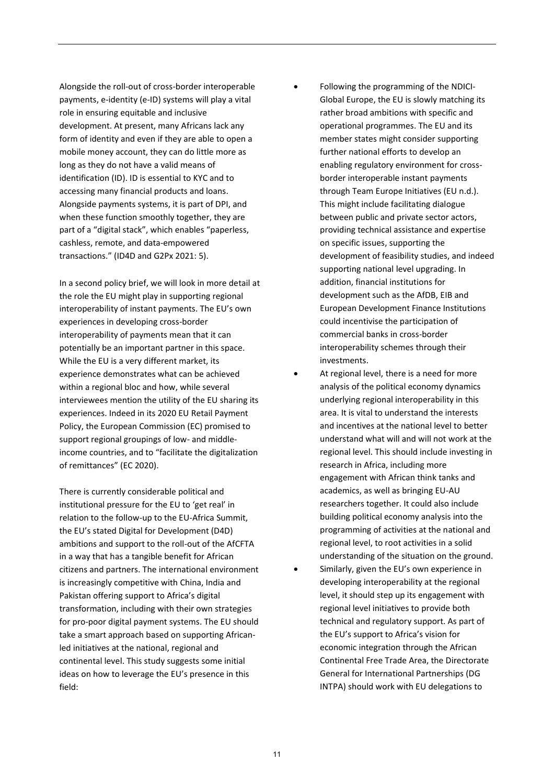Alongside the roll-out of cross-border interoperable payments, e-identity (e-ID) systems will play a vital role in ensuring equitable and inclusive development. At present, many Africans lack any form of identity and even if they are able to open a mobile money account, they can do little more as long as they do not have a valid means of identification (ID). ID is essential to KYC and to accessing many financial products and loans. Alongside payments systems, it is part of DPI, and when these function smoothly together, they are part of a "digital stack", which enables "paperless, cashless, remote, and data-empowered transactions." (ID4D and G2Px 2021: 5).

In a second policy brief, we will look in more detail at the role the EU might play in supporting regional interoperability of instant payments. The EU's own experiences in developing cross-border interoperability of payments mean that it can potentially be an important partner in this space. While the EU is a very different market, its experience demonstrates what can be achieved within a regional bloc and how, while several interviewees mention the utility of the EU sharing its experiences. Indeed in its 2020 EU Retail Payment Policy, the European Commission (EC) promised to support regional groupings of low- and middleincome countries, and to "facilitate the digitalization of remittances" (EC 2020).

There is currently considerable political and institutional pressure for the EU to 'get real' in relation to the follow-up to the EU-Africa Summit, the EU's stated Digital for Development (D4D) ambitions and support to the roll-out of the AfCFTA in a way that has a tangible benefit for African citizens and partners. The international environment is increasingly competitive with China, India and Pakistan offering support to Africa's digital transformation, including with their own strategies for pro-poor digital payment systems. The EU should take a smart approach based on supporting Africanled initiatives at the national, regional and continental level. This study suggests some initial ideas on how to leverage the EU's presence in this field:

- Following the programming of the NDICI-Global Europe, the EU is slowly matching its rather broad ambitions with specific and operational programmes. The EU and its member states might consider supporting further national efforts to develop an enabling regulatory environment for crossborder interoperable instant payments through Team Europe Initiatives (EU n.d.). This might include facilitating dialogue between public and private sector actors, providing technical assistance and expertise on specific issues, supporting the development of feasibility studies, and indeed supporting national level upgrading. In addition, financial institutions for development such as the AfDB, EIB and European Development Finance Institutions could incentivise the participation of commercial banks in cross-border interoperability schemes through their investments.
- At regional level, there is a need for more analysis of the political economy dynamics underlying regional interoperability in this area. It is vital to understand the interests and incentives at the national level to better understand what will and will not work at the regional level. This should include investing in research in Africa, including more engagement with African think tanks and academics, as well as bringing EU-AU researchers together. It could also include building political economy analysis into the programming of activities at the national and regional level, to root activities in a solid understanding of the situation on the ground.
- Similarly, given the EU's own experience in developing interoperability at the regional level, it should step up its engagement with regional level initiatives to provide both technical and regulatory support. As part of the EU's support to Africa's vision for economic integration through the African Continental Free Trade Area, the Directorate General for International Partnerships (DG INTPA) should work with EU delegations to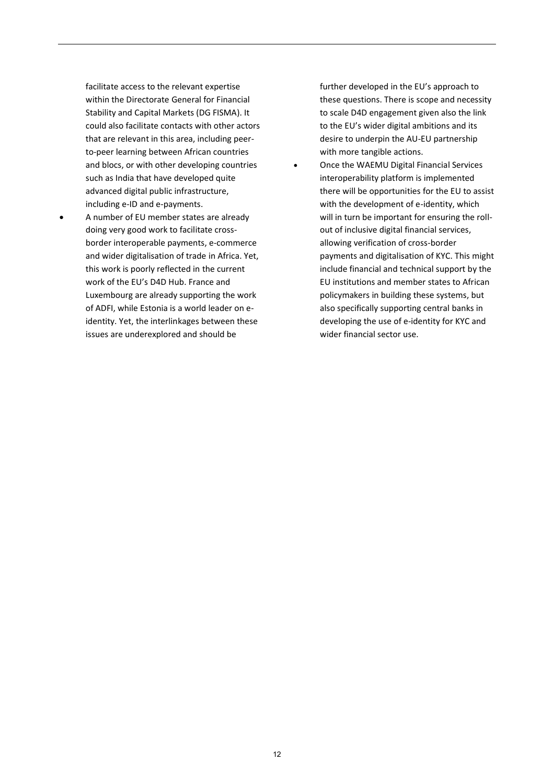facilitate access to the relevant expertise within the Directorate General for Financial Stability and Capital Markets (DG FISMA). It could also facilitate contacts with other actors that are relevant in this area, including peerto-peer learning between African countries and blocs, or with other developing countries such as India that have developed quite advanced digital public infrastructure, including e-ID and e-payments.

• A number of EU member states are already doing very good work to facilitate crossborder interoperable payments, e-commerce and wider digitalisation of trade in Africa. Yet, this work is poorly reflected in the current work of the EU's D4D Hub. France and Luxembourg are already supporting the work of ADFI, while Estonia is a world leader on eidentity. Yet, the interlinkages between these issues are underexplored and should be

further developed in the EU's approach to these questions. There is scope and necessity to scale D4D engagement given also the link to the EU's wider digital ambitions and its desire to underpin the AU-EU partnership with more tangible actions.

• Once the WAEMU Digital Financial Services interoperability platform is implemented there will be opportunities for the EU to assist with the development of e-identity, which will in turn be important for ensuring the rollout of inclusive digital financial services, allowing verification of cross-border payments and digitalisation of KYC. This might include financial and technical support by the EU institutions and member states to African policymakers in building these systems, but also specifically supporting central banks in developing the use of e-identity for KYC and wider financial sector use.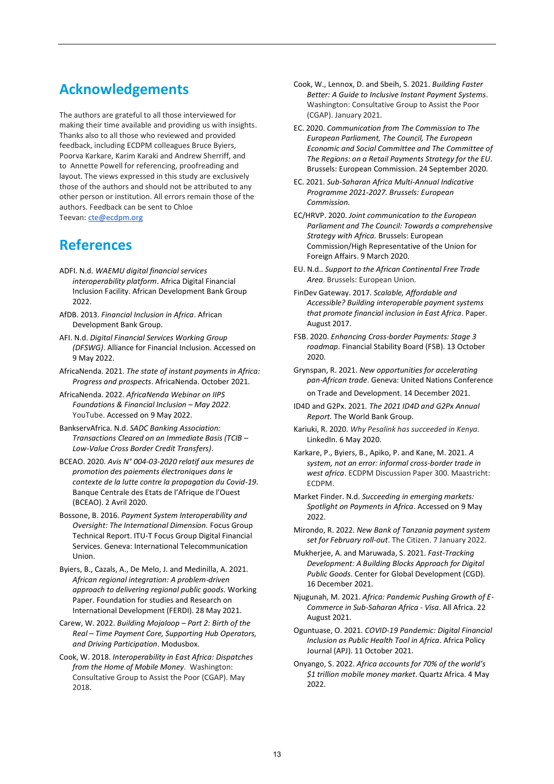## **Acknowledgements**

The authors are grateful to all those interviewed for making their time available and providing us with insights. Thanks also to all those who reviewed and provided feedback, including ECDPM colleagues Bruce Byiers, Poorva Karkare, Karim Karaki and Andrew Sherriff, and to Annette Powell for referencing, proofreading and layout. The views expressed in this study are exclusively those of the authors and should not be attributed to any other person or institution. All errors remain those of the authors. Feedback can be sent to Chloe Teevan: [cte@ecdpm.org](mailto:cte@ecdpm.org)

## **References**

- ADFI. N.d. *[WAEMU digital financial services](https://www.adfi.org/projects/waemu-digital-financial-services-interoperability-platform)  [interoperability platform](https://www.adfi.org/projects/waemu-digital-financial-services-interoperability-platform)*. Africa Digital Financial Inclusion Facility. African Development Bank Group 2022.
- AfDB. 2013. *[Financial Inclusion in Africa](https://www.afdb.org/fileadmin/uploads/afdb/Documents/Project-and-Operations/Financial_Inclusion_in_Africa.pdf)*. African Development Bank Group.
- AFI. N.d. *[Digital Financial Services Working Group](https://www.afi-global.org/working-groups/dfs/#:~:text=Digital%20financial%20services%20(DFS)%20comprises,also%20includes%20mobile%20financial%20services.)  [\(DFSWG\)](https://www.afi-global.org/working-groups/dfs/#:~:text=Digital%20financial%20services%20(DFS)%20comprises,also%20includes%20mobile%20financial%20services.)*. Alliance for Financial Inclusion. Accessed on 9 May 2022.
- AfricaNenda. 2021. *[The state of instant payments in Africa:](https://www.africanenda.org/uploads/files/211005_AfricaNenda-Instant-Payments-in-Africa-Report_vF-1.pdf)  [Progress and prospects](https://www.africanenda.org/uploads/files/211005_AfricaNenda-Instant-Payments-in-Africa-Report_vF-1.pdf)*. AfricaNenda. October 2021.
- AfricaNenda. 2022. *[AfricaNenda Webinar on IIPS](https://www.youtube.com/watch?v=LCsQFbtghOQ&ab_channel=AfricaNendaAfricaNenda)  [Foundations & Financial Inclusion](https://www.youtube.com/watch?v=LCsQFbtghOQ&ab_channel=AfricaNendaAfricaNenda) [–](https://www.youtube.com/watch?v=LCsQFbtghOQ&ab_channel=AfricaNendaAfricaNenda) [May 2022](https://www.youtube.com/watch?v=LCsQFbtghOQ&ab_channel=AfricaNendaAfricaNenda)*. YouTube. Accessed on 9 May 2022.
- [BankservAfrica.](https://www.bankservafrica.com/blog/post/tcib-successfully-processes-first-live-transa) N.d. *[SADC Banking Association:](https://www.bankservafrica.com/blog/post/sadc-banking-association-transactions-cleared-on-an-immediate-basis-tcib-low-value-cross-border-credit-transfers1)  [Transactions Cleared on an Immediate Basis \(TCIB](https://www.bankservafrica.com/blog/post/sadc-banking-association-transactions-cleared-on-an-immediate-basis-tcib-low-value-cross-border-credit-transfers1) – [Low-Value Cross Border Credit Transfers\)](https://www.bankservafrica.com/blog/post/sadc-banking-association-transactions-cleared-on-an-immediate-basis-tcib-low-value-cross-border-credit-transfers1)*.
- BCEAO. 2020. *[Avis N° 004-03-2020 relatif aux mesures de](https://www.bceao.int/fr/reglementations/avis-ndeg-004-03-2020-relatif-aux-mesures-de-promotion-des-paiements-electroniques)  [promotion des paiements électroniques dans le](https://www.bceao.int/fr/reglementations/avis-ndeg-004-03-2020-relatif-aux-mesures-de-promotion-des-paiements-electroniques)  [contexte de la lutte contre la propagation du Covid-19](https://www.bceao.int/fr/reglementations/avis-ndeg-004-03-2020-relatif-aux-mesures-de-promotion-des-paiements-electroniques)*. Banque Centrale des Etats de l'Afrique de l'Ouest (BCEAO). 2 Avril 2020.
- Bossone, B. 2016. *[Payment System Interoperability and](https://www.itu.int/en/ITU-T/focusgroups/dfs/Documents/10_2016/ITUFGDFS_REPORT%20ON%20Payment%20System%20InteroperabilityandOversightThe%20InternationalDimension-11-2016.pdf)  [Oversight: The International Dimension.](https://www.itu.int/en/ITU-T/focusgroups/dfs/Documents/10_2016/ITUFGDFS_REPORT%20ON%20Payment%20System%20InteroperabilityandOversightThe%20InternationalDimension-11-2016.pdf)* Focus Group Technical Report. ITU-T Focus Group Digital Financial Services. Geneva: International Telecommunication Union.

Byiers, B., Cazals, A., De Melo, J. and Medinilla, A. 2021. *[African regional integration: A problem-driven](https://ferdi.fr/en/publications/african-regional-integration-a-problem-driven-approach-to-delivering-regional-public-goods)  [approach to delivering regional public goods.](https://ferdi.fr/en/publications/african-regional-integration-a-problem-driven-approach-to-delivering-regional-public-goods)* Working Paper. Foundation for studies and Research on International Development (FERDI). 28 May 2021.

Carew, W. 2022. *[Building Mojaloop](https://modusbox.com/building-mojaloop-part-2-birth-of-the-real-time-payment-core-supporting-hub-operators-and-driving-participation/) [–](https://modusbox.com/building-mojaloop-part-2-birth-of-the-real-time-payment-core-supporting-hub-operators-and-driving-participation/) [Part 2: Birth of the](https://modusbox.com/building-mojaloop-part-2-birth-of-the-real-time-payment-core-supporting-hub-operators-and-driving-participation/)  [Real](https://modusbox.com/building-mojaloop-part-2-birth-of-the-real-time-payment-core-supporting-hub-operators-and-driving-participation/) [–](https://modusbox.com/building-mojaloop-part-2-birth-of-the-real-time-payment-core-supporting-hub-operators-and-driving-participation/) [Time Payment Core, Supporting Hub Operators,](https://modusbox.com/building-mojaloop-part-2-birth-of-the-real-time-payment-core-supporting-hub-operators-and-driving-participation/)  [and Driving Participation](https://modusbox.com/building-mojaloop-part-2-birth-of-the-real-time-payment-core-supporting-hub-operators-and-driving-participation/)*. Modusbox.

Cook, W. 2018. *[Interoperability in East Africa: Dispatches](https://www.cgap.org/research/reading-deck/interoperability-east-africa-dispatches-home-mobile-money)  [from the Home of Mobile Money](https://www.cgap.org/research/reading-deck/interoperability-east-africa-dispatches-home-mobile-money)*. Washington: Consultative Group to Assist the Poor (CGAP). May 2018.

- Cook, W., Lennox, D. and Sbeih, S. 2021. *[Building Faster](https://www.cgap.org/research/publication/building-faster-better-guide-inclusive-instant-payment-systems)  [Better: A Guide to Inclusive Instant Payment Systems](https://www.cgap.org/research/publication/building-faster-better-guide-inclusive-instant-payment-systems)*. Washington: Consultative Group to Assist the Poor (CGAP). January 2021.
- EC. 2020. *[Communication from The Commission to The](https://eur-lex.europa.eu/legal-content/EN/TXT/?uri=CELEX%3A52020DC0592)  [European Parliament, The Council, The European](https://eur-lex.europa.eu/legal-content/EN/TXT/?uri=CELEX%3A52020DC0592)  [Economic and Social Committee and The Committee of](https://eur-lex.europa.eu/legal-content/EN/TXT/?uri=CELEX%3A52020DC0592)  [The Regions: on a Retail Payments Strategy for the EU](https://eur-lex.europa.eu/legal-content/EN/TXT/?uri=CELEX%3A52020DC0592)*. Brussels: European Commission. 24 September 2020.
- EC. 2021. *[Sub-Saharan Africa Multi-Annual Indicative](https://ec.europa.eu/international-partnerships/system/files/mip-2021-c2021-9373-sub-saharan-africa-annex_en.pdf)  [Programme 2021-2027.](https://ec.europa.eu/international-partnerships/system/files/mip-2021-c2021-9373-sub-saharan-africa-annex_en.pdf) Brussels: European Commission.*
- EC/HRVP. 2020. *[Joint communication to the European](https://ec.europa.eu/international-partnerships/system/files/communication-eu-africa-strategy-join-2020-4-final_en.pdf)  [Parliament and The Council: Towards a comprehensive](https://ec.europa.eu/international-partnerships/system/files/communication-eu-africa-strategy-join-2020-4-final_en.pdf)  [Strategy with Africa.](https://ec.europa.eu/international-partnerships/system/files/communication-eu-africa-strategy-join-2020-4-final_en.pdf)* Brussels: European Commission/High Representative of the Union for Foreign Affairs. 9 March 2020.
- EU. N.d.. *[Support to the](https://europa.eu/capacity4dev/tei-jp-tracker/tei/support-african-continental-free-trade-area) [African Continental Free Trade](https://europa.eu/capacity4dev/tei-jp-tracker/tei/support-african-continental-free-trade-area)  [Area](https://europa.eu/capacity4dev/tei-jp-tracker/tei/support-african-continental-free-trade-area)*. Brussels: European Union.
- FinDev Gateway. 2017. *[Scalable, Affordable and](https://www.findevgateway.org/paper/2017/08/scalable-affordable-and-accessible)  Accessible? Building [interoperable payment systems](https://www.findevgateway.org/paper/2017/08/scalable-affordable-and-accessible)  [that promote financial inclusion in East Africa](https://www.findevgateway.org/paper/2017/08/scalable-affordable-and-accessible)*. Paper. August 2017.
- FSB. 2020. *[Enhancing Cross-border Payments: Stage 3](https://www.fsb.org/wp-content/uploads/P131020-1.pdf)  [roadmap](https://www.fsb.org/wp-content/uploads/P131020-1.pdf)*. Financial Stability Board (FSB). 13 October 2020.
- Grynspan, R. 2021. *[New opportunities for accelerating](https://unctad.org/news/blog-new-opportunities-accelerating-pan-african-trade)  [pan-African trade](https://unctad.org/news/blog-new-opportunities-accelerating-pan-african-trade)*. Geneva: United Nations Conference on Trade and Development. 14 December 2021.
- ID4D and G2Px. 2021. *[The 2021 ID4D and G2Px Annual](https://id4d.worldbank.org/annual-report)  [Report.](https://id4d.worldbank.org/annual-report)* The World Bank Group.
- Kariuki, R. 2020. *[Why Pesalink has succeeded in Kenya.](https://www.linkedin.com/pulse/why-pesalink-has-succeded-kenya-robert-kariuki/)* LinkedIn. 6 May 2020.

Karkare, P., Byiers, B., Apiko, P. and Kane, M. 2021. *[A](https://ecdpm.org/wp-content/uploads/System-Not-Error-Informal-Cross-Border-Trade-West-Africa-ECDPM-Discussion-Paper-300-2021.pdf)  [system, not an error: informal cross-border trade in](https://ecdpm.org/wp-content/uploads/System-Not-Error-Informal-Cross-Border-Trade-West-Africa-ECDPM-Discussion-Paper-300-2021.pdf)  [west africa](https://ecdpm.org/wp-content/uploads/System-Not-Error-Informal-Cross-Border-Trade-West-Africa-ECDPM-Discussion-Paper-300-2021.pdf)*. ECDPM Discussion Paper 300. Maastricht: ECDPM.

- Market Finder. N.d. *[Succeeding in emerging markets:](https://marketfinder.thinkwithgoogle.com/intl/en/guide/payments-in-africa/)  [Spotlight on Payments in Africa](https://marketfinder.thinkwithgoogle.com/intl/en/guide/payments-in-africa/)*. Accessed on 9 May 2022.
- Mirondo, R. 2022. *[New Bank of Tanzania payment system](https://www.thecitizen.co.tz/tanzania/news/business/new-bank-of-tanzania-payment-system-set-for-february-roll-out-3673110)  [set for February roll-out](https://www.thecitizen.co.tz/tanzania/news/business/new-bank-of-tanzania-payment-system-set-for-february-roll-out-3673110)*. The Citizen. 7 January 2022.

Mukherjee, A. and Maruwada, S. 2021. *[Fast-Tracking](https://www.cgdev.org/publication/fast-tracking-development-building-blocks-approach-digital-public-goods)  [Development: A Building Blocks Approach for Digital](https://www.cgdev.org/publication/fast-tracking-development-building-blocks-approach-digital-public-goods)  [Public Goods](https://www.cgdev.org/publication/fast-tracking-development-building-blocks-approach-digital-public-goods)*. Center for Global Development (CGD). 16 December 2021.

Njugunah, M. 2021. *[Africa: Pandemic Pushing Growth of E-](https://allafrica.com/stories/202108220006.html)[Commerce in Sub-Saharan Africa -](https://allafrica.com/stories/202108220006.html) Visa*. All Africa. 22 August 2021.

Oguntuase, O. 2021. *[COVID-19 Pandemic: Digital Financial](https://apj.hkspublications.org/covid-19-pandemic-digital-financial-inclusion-as-public-health-tool-in-africa/)  [Inclusion as Public Health Tool in Africa](https://apj.hkspublications.org/covid-19-pandemic-digital-financial-inclusion-as-public-health-tool-in-africa/)*. Africa Policy Journal (APJ). 11 October 2021.

Onyango, S. 2022. *[Africa accounts for 70% of the world's](https://qz.com/africa/2161960/gsma-70-percent-of-the-worlds-1-trillion-mobile-money-market-is-in-africa/)  [\\$1 trillion mobile money market](https://qz.com/africa/2161960/gsma-70-percent-of-the-worlds-1-trillion-mobile-money-market-is-in-africa/)*. Quartz Africa. 4 May 2022.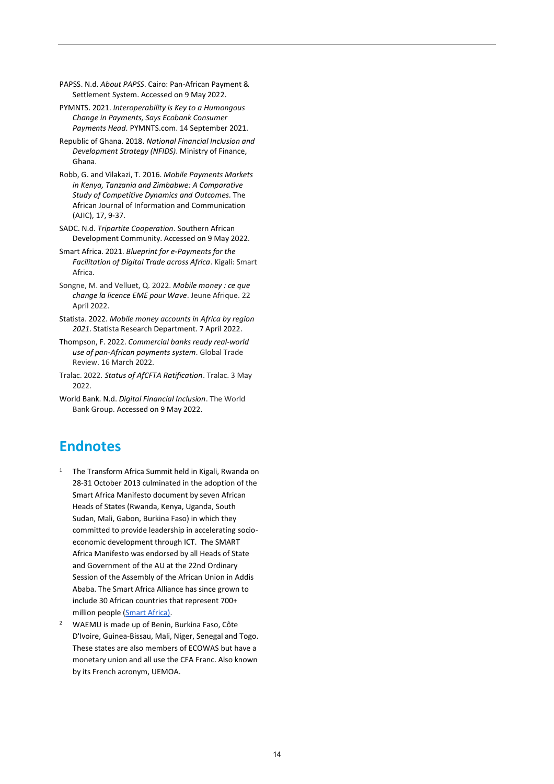- PAPSS. N.d. *[About PAPSS](https://papss.com/about-us/#about-papss)*. Cairo: Pan-African Payment & Settlement System. Accessed on 9 May 2022.
- PYMNTS. 2021. *[Interoperability is Key to a Humongous](https://www.pymnts.com/news/digital-banking/2021/interoperability-key-to-humongous-change-in-payments/)  [Change in Payments, Says Ecobank Consumer](https://www.pymnts.com/news/digital-banking/2021/interoperability-key-to-humongous-change-in-payments/)  [Payments Head.](https://www.pymnts.com/news/digital-banking/2021/interoperability-key-to-humongous-change-in-payments/)* PYMNTS.com. 14 September 2021.
- Republic of Ghana. 2018. *[National Financial Inclusion and](https://mofep.gov.gh/sites/default/files/acts/NFIDs_Report.pdf)  [Development Strategy \(NFIDS\)](https://mofep.gov.gh/sites/default/files/acts/NFIDs_Report.pdf)*. Ministry of Finance, Ghana.
- Robb, G. and Vilakazi, T. 2016. *[Mobile Payments Markets](https://static1.squarespace.com/static/52246331e4b0a46e5f1b8ce5/t/5889a8a58419c25a60c9d586/1485416617357/AJIC-Issue-17-2016-Robb-Vilakazi.pdf)  [in Kenya, Tanzania and Zimbabwe: A Comparative](https://static1.squarespace.com/static/52246331e4b0a46e5f1b8ce5/t/5889a8a58419c25a60c9d586/1485416617357/AJIC-Issue-17-2016-Robb-Vilakazi.pdf)  [Study of Competitive Dynamics and Outcomes.](https://static1.squarespace.com/static/52246331e4b0a46e5f1b8ce5/t/5889a8a58419c25a60c9d586/1485416617357/AJIC-Issue-17-2016-Robb-Vilakazi.pdf)* The African Journal of Information and Communication (AJIC), 17, 9-37.
- SADC. N.d. *[Tripartite Cooperation](https://www.sadc.int/about-sadc/continental-interregional-integration/tripartite-cooperation/)*. Southern African Development Community. Accessed on 9 May 2022.
- Smart Africa. 2021. *[Blueprint for e-Payments for the](https://smartafrica.org/knowledge/blueprint-for-e-payments-for-the-facilitation-of-digital-trade-across-africa/)  [Facilitation of Digital Trade across Africa](https://smartafrica.org/knowledge/blueprint-for-e-payments-for-the-facilitation-of-digital-trade-across-africa/)*. Kigali: Smart Africa.
- Songne, M. and Velluet, Q. 2022. *[Mobile money : ce que](https://www.jeuneafrique.com/1340962/economie/mobile-money-ce-que-change-la-licence-eme-pour-wave/?utm_source=newsletter-ja-actu-v4&utm_campaign=newsletter-ja-actu-v4-22-04-2022&utm_medium=email&utm_content=article_6)  [change la licence EME pour Wave](https://www.jeuneafrique.com/1340962/economie/mobile-money-ce-que-change-la-licence-eme-pour-wave/?utm_source=newsletter-ja-actu-v4&utm_campaign=newsletter-ja-actu-v4-22-04-2022&utm_medium=email&utm_content=article_6)*. Jeune Afrique. 22 April 2022.
- Statista. 2022. *[Mobile money accounts in Africa by region](https://www.statista.com/statistics/1139376/mobile-money-accounts-africa/#:~:text=Mobile%20money%20accounts%20in%20Africa%202021&text=More%20mobile%20money%20users%20held,were%20deemed%20inactive%20in%202021)  [2021](https://www.statista.com/statistics/1139376/mobile-money-accounts-africa/#:~:text=Mobile%20money%20accounts%20in%20Africa%202021&text=More%20mobile%20money%20users%20held,were%20deemed%20inactive%20in%202021)*. Statista Research Department. 7 April 2022.
- Thompson, F. 2022. *[Commercial banks ready real-world](https://www.gtreview.com/news/africa/commercial-banks-ready-real-world-use-of-pan-african-payments-system/)  [use of pan-African payments system](https://www.gtreview.com/news/africa/commercial-banks-ready-real-world-use-of-pan-african-payments-system/)*. Global Trade Review. 16 March 2022.
- Tralac. 2022. *[Status of AfCFTA Ratification](https://www.tralac.org/resources/infographic/13795-status-of-afcfta-ratification.html)*. Tralac. 3 May 2022.
- World Bank. N.d. *[Digital Financial Inclusion](https://www.worldbank.org/en/topic/financialinclusion/publication/digital-financial-inclusion)*. The World Bank Group. Accessed on 9 May 2022.

## **Endnotes**

- <sup>1</sup> The Transform Africa Summit held in Kigali, Rwanda on 28-31 October 2013 culminated in the adoption of the Smart Africa Manifesto document by seven African Heads of States (Rwanda, Kenya, Uganda, South Sudan, Mali, Gabon, Burkina Faso) in which they committed to provide leadership in accelerating socioeconomic development through ICT. The SMART Africa Manifesto was endorsed by all Heads of State and Government of the AU at the 22nd Ordinary Session of the Assembly of the African Union in Addis Ababa. The Smart Africa Alliance has since grown to include 30 African countries that represent 700+ million people [\(Smart Africa\).](https://smartafrica.org/who-we-are/)
- <sup>2</sup> WAEMU is made up of Benin, Burkina Faso, Côte D'Ivoire, Guinea-Bissau, Mali, Niger, Senegal and Togo. These states are also members of ECOWAS but have a monetary union and all use the CFA Franc. Also known by its French acronym, UEMOA.